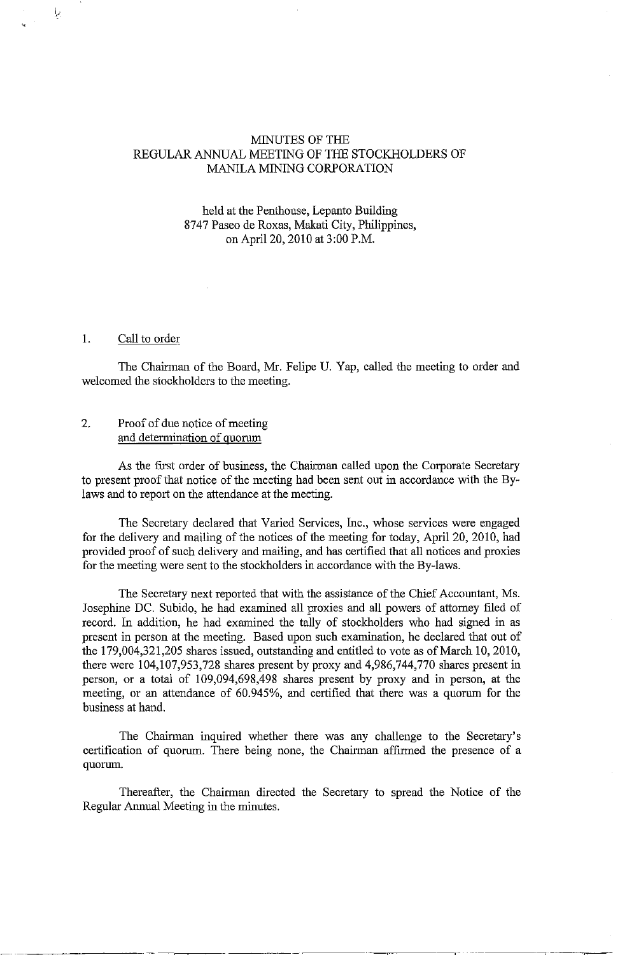## MINUTES OF THE REGULAR ANNUAL MEETING OF THE STOCKHOLDERS OF MANILA MINING CORPORATION

### held at the Penthouse, Lepanto Building 8747 Paseo de Roxas, Makati City, Philippines, on April 20, 2010 at 3:00 P.M.

## 1. Call to order

1,.·

•

The Chairman of the Board, Mr. Felipe U. Yap, called the meeting to order and welcomed the stockholders to the meeting.

## 2. Proof of due notice of meeting and determination of quorum

As the first order of business, the Chairman called upon the Corporate Secretary to present proof that notice of the meeting had been sent out in accordance with the Bylaws and to report on the attendance at the meeting.

The Secretary declared that Varied Services, Inc., whose services were engaged for the delivery and mailing of the notices of the meeting for today, April 20, 2010, had provided proof of such delivery and mailing, and has certified that all notices and proxies for the meeting were sent to the stockholders in accordance with the By-laws.

The Secretary next reported that with the assistance of the Chief Accountant, Ms. Josephine DC. Subido, he had examined all proxies and all powers of attorney filed of record. In addition, he had examined the tally of stockholders who had signed in as present in person at the meeting. Based upon such examination, he declared that out of the 179,004,321,205 shares issued, outstanding and entitled to vote as of March 10,2010, there were 104,107,953,728 shares present by proxy and 4,986,744,770 shares present in person, or a total of 109,094,698,498 shares present by proxy and in person, at the meeting, or an attendance of 60.945%, and certified that there was a quorum for the business at hand.

The Chairman inquired whether there was any challenge to the Secretary's certification of quorum. There being none, the Chairman affrrmed the presence of a quorum.

Thereafter, the Chairman directed the Secretary to spread the Notice of the Regular Annual Meeting in the minutes.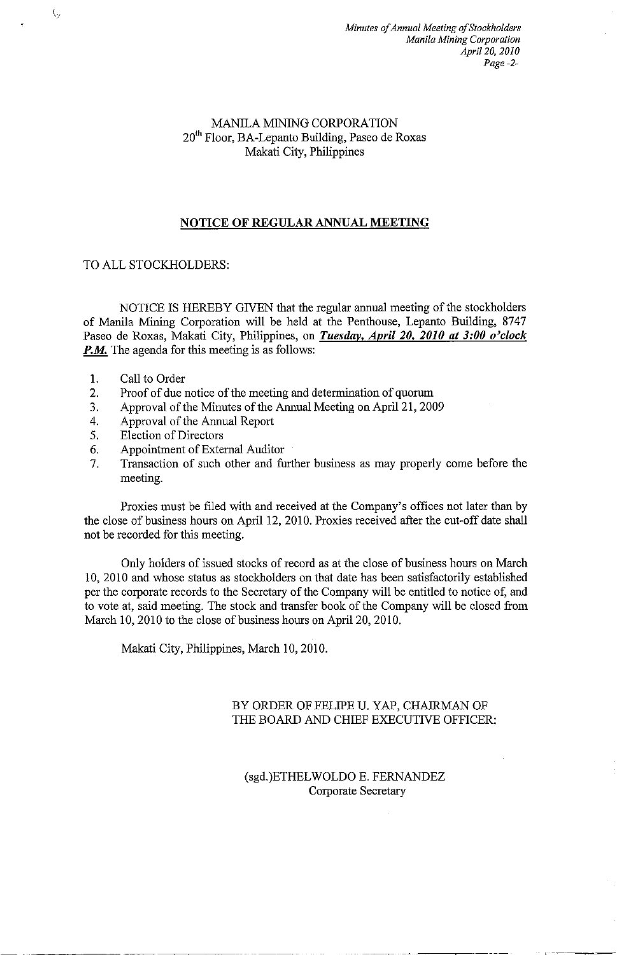## MANILA MINING CORPORATION 20th Floor, BA-Lepanto Building, Paseo de Roxas Makati City, Philippines

# **NOTICE OF REGULAR ANNUAL MEETING**

## TO ALL STOCKHOLDERS:

NOTICE IS HEREBY GIVEN that the regular annual meeting of the stockholders of Manila Mining Corporation will be held at the Penthouse, Lepanto Building, 8747 Paseo de Roxas, Makati City, Philippines, on *Tuesday, April 20, 2010 at 3:00 o'clock P.M.* The agenda for this meeting is as follows:

- 1. Call to Order
- 2, Proof of due notice of the meeting and determination of quorum
- 3, Approval of the Minutes of the Annual Meeting on April 21, 2009
- 4. Approval of the Annual Report
- 5. Election of Directors
- 6, Appointment of External Auditor
- 7, Transaction of such other and further business as may properly come before the meeting.

Proxies must be filed with and received at the Company's offices not later than by the close of business hours on April 12, 2010. Proxies received after the cut-off date shall not be recorded for this meeting,

Only holders of issued stocks of record as at the close of business hours on March 10, 2010 and whose status as stockholders on that date has been satisfactorily established per the corporate records to the Secretary of the Company will be entitled to notice of, and to vote at, said meeting. The stock and transfer book of the Company will be closed from March 10,2010 to the close of business hours on April20, 2010.

Makati City, Philippines, March 10,2010.

# BY ORDER OF FELIPE U. YAP, CHAIRMAN OF THE BOARD AND CHIEF EXECUTIVE OFFICER:

··~--~--

# (sgd.)ETHELWOLDO E. FERNANDEZ Corporate Secretary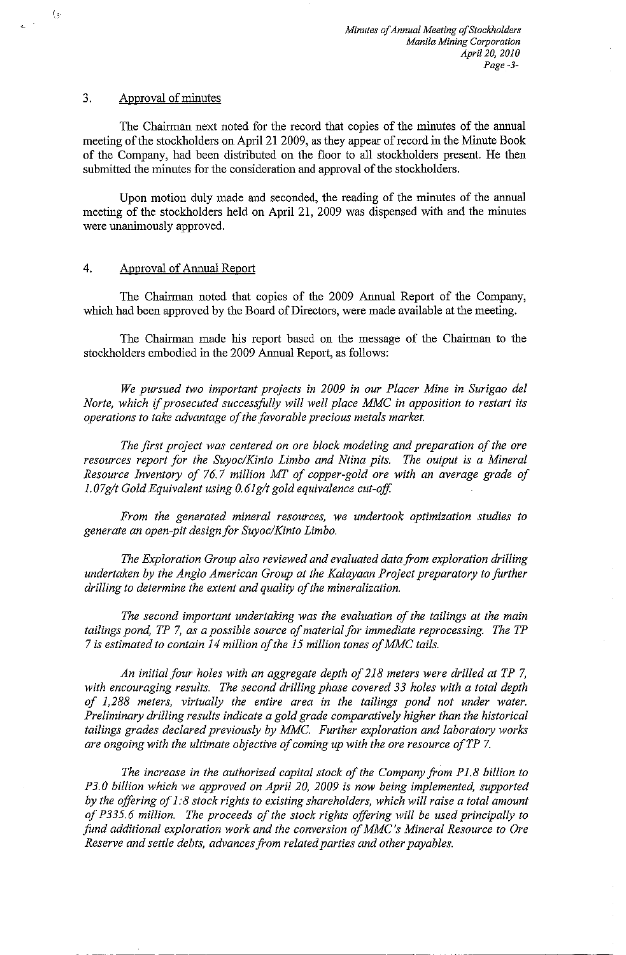#### 3. Approval of minutes

(;·

 $\epsilon^{-1}$ 

The Chairman next noted for the record that copies of the minutes of the annual meeting of the stockholders on April 21 2009, as they appear of record in the Minute Book of the Company, had been distributed on the floor to all stockholders present. He then submitted the minutes for the consideration and approval of the stockholders.

Upon motion duly made and seconded, the reading of the minutes of the annual meeting of the stockholders held on April 21, 2009 was dispensed with and the minutes were unanimously approved.

#### 4. Approval of Annual Report

The Chairman noted that copies of the 2009 Annual Report of the Company, which had been approved by the Board of Directors, were made available at the meeting.

The Chairman made his report based on the message of the Chairman to the stockholders embodied in the 2009 Annual Report, as follows:

*We pursued two important projects in 2009 in our Placer Mine in Surigao del Norte, which* if *prosecuted successfolly will well place MMC in apposition to restart its operations to take advantage of the favorable precious metals market.* 

*The first project was centered on ore block modeling and preparation of the ore resources report for the Suyoc/Kinto Limbo and Ntina pits. The output is a Mineral Resource Inventory of 76.7 million MT of copper-gold ore with an average grade of 1.07g/t Gold Equivalent using 0.61g/t gold equivalence cut-off* 

*From the generated mineral resources, we undertook optimization studies to generate an open-pit design for Suyoc/Kinto Limbo.* 

*The Exploration Group also reviewed and evaluated data from exploration drilling undertaken by the Anglo American Group at the Kalayaan Project preparatory to further drilling to determine the extent and quality of the mineralization.* 

*The second important undertaking was the evaluation of the tailings at the main tailings pond, TP* 7, *as a possible source of material for immediate reprocessing. The TP*  7 *is estimated to contain 14 million of the 15 million tones of MMC tails.* 

*An initial four holes with an aggregate depth of 218 meters were drilled at TP* 7, with encouraging results. The second drilling phase covered 33 holes with a total depth *of 1,288 meters, virtually the entire area in the tailings pond not under water. Preliminary drilling results indicate a gold grade comparatively higher than the historical tailings grades declared previously by MMC. Further exploration and laboratory works are ongoing with the ultimate objective of coming up with the ore resource ofTP* 7.

*The increase in the authorized capital stock of the Company from P 1.8 billion to P3.0 billion which we approved on April 20, 2009 is now being implemented, supported by the offering of 1:8 stock rights to existing shareholders, which will raise a total amount of P335. 6 million. The proceeds of the stock rights offiring will be used principally to fund additional exploration work and the conversion of MMC's Mineral Resource to Ore Reserve and settle debts, advances from related parties and other payables.*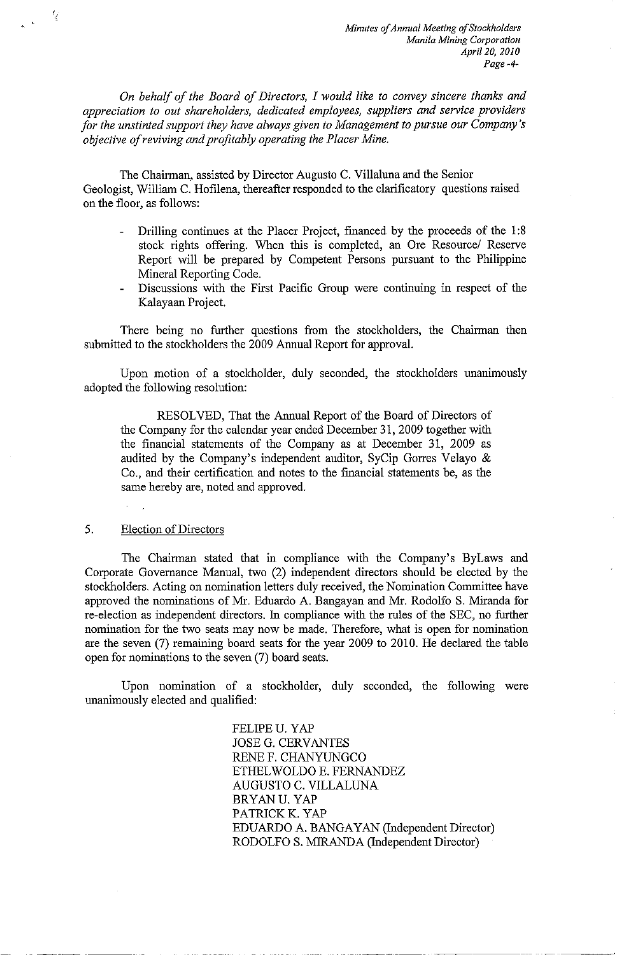*On behalf of the Board of Directors, I would like to convey sincere thanks and appreciation to out shareholders, dedicated employees, suppliers and service providers for the unstinted support they have always given to Management to pursue our Company's objective of reviving and profitably operating the Placer Mine.* 

The Chairman, assisted by Director Augusto C. Villaluna and the Senior Geologist, William C. Hofilena, thereafter responded to the clarificatory questions raised on the floor, as follows:

- Drilling continues at the Placer Project, financed by the proceeds of the 1:8  $\mathbf{r}$ stock rights offering. When this is completed, an Ore Resource/ Reserve Report will be prepared by Competent Persons pursuant to the Philippine Mineral Reporting Code.
- Discussions with the First Pacific Group were continuing in respect of the Kalayaan Project.

There being no further questions from the stockholders, the Chairman then submitted to the stockholders the 2009 Annual Report for approval.

Upon motion of a stockholder, duly seconded, the stockholders unanimously adopted the following resolution:

RESOLVED, That the Annual Report of the Board of Directors of the Company for the calendar year ended December 31, 2009 together with the financial statements of the Company as at December 31, 2009 as audited by the Company's independent auditor, SyCip Gorres Velayo & Co., and their certification and notes to the financial statements be, as the same hereby are, noted and approved.

#### 5. Election of Directors

IJ

The Chairman stated that in compliance with the Company's ByLaws and Corporate Governance Manual, two (2) independent directors should be elected by the stockholders. Acting on nomination letters duly received, the Nomination Committee have approved the nominations of Mr. Eduardo A. Bangayan and Mr. Rodolfo S. Miranda for re-election as independent directors. In compliance with the rules of the SEC, no further nomination for the two seats may now be made. Therefore, what is open for nomination are the seven (7) remaining board seats for the year 2009 to 2010. He declared the table open for nominations to the seven (7) board seats.

Upon nomination of a stockholder, duly seconded, the following were unanimously elected and qualified:

> FELIPEU. YAP JOSE G. CERVANTES RENEF.CHANYUNGCO ETHEL WOLDO E. FERNANDEZ AUGUSTO C. VILLALUNA BRYANU. YAP PATRICK K. YAP EDUARDO A. BANGAYAN (Independent Director) RODOLFO S. MIRANDA (Independent Director)